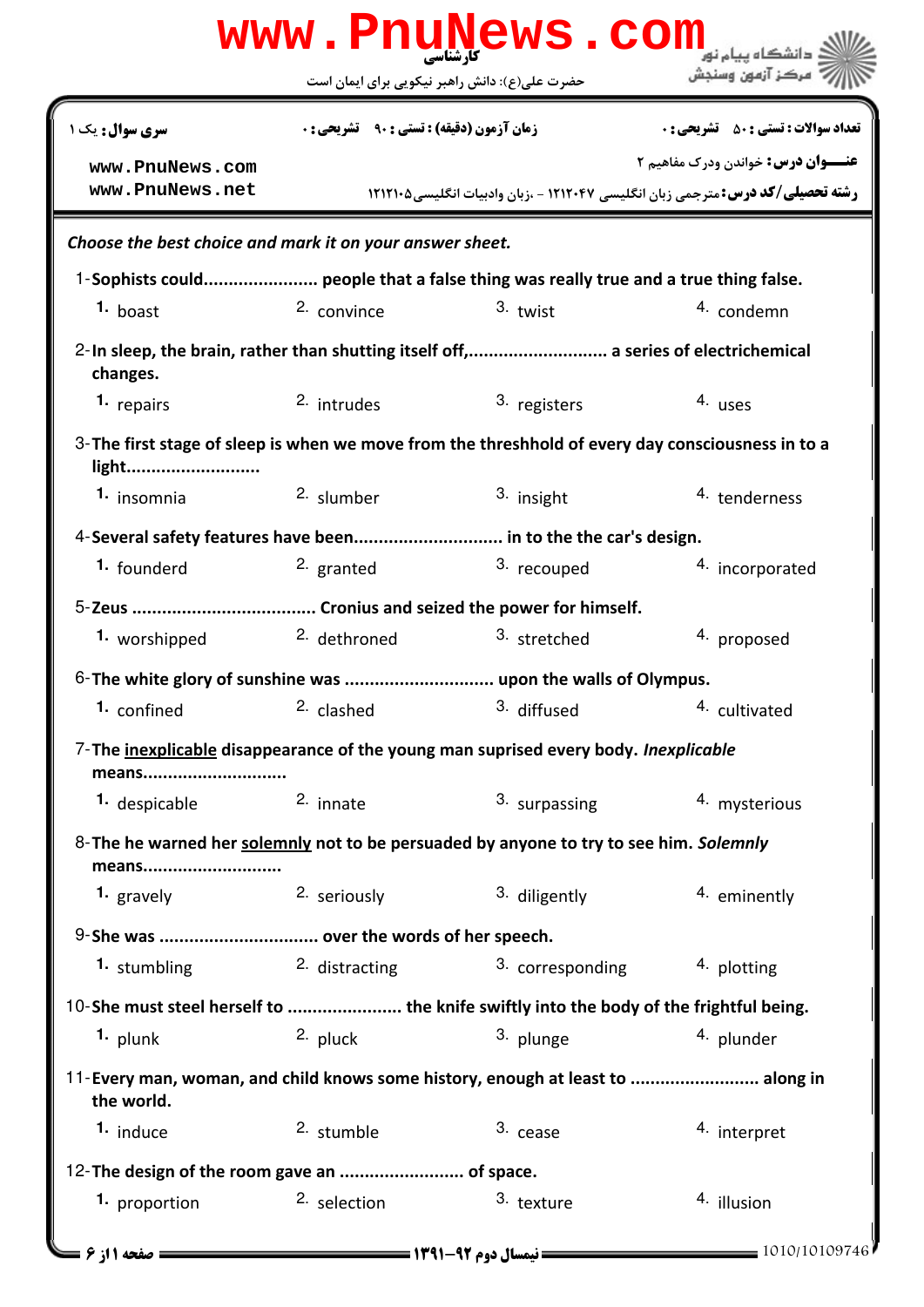|                                                                                                             |                                                   | www.PnuNews.com                                  | دانشگاه پیام نو <mark>ر</mark>                                                       |
|-------------------------------------------------------------------------------------------------------------|---------------------------------------------------|--------------------------------------------------|--------------------------------------------------------------------------------------|
|                                                                                                             | حضرت علی(ع): دانش راهبر نیکویی برای ایمان است     |                                                  | " مرڪز آزمون وسنڊش                                                                   |
| <b>سری سوال :</b> یک ۱                                                                                      | <b>زمان آزمون (دقیقه) : تستی : ۹۰٪ تشریحی : 0</b> |                                                  | <b>تعداد سوالات : تستي : 50 ٪ تشريحي : 0</b>                                         |
| www.PnuNews.com                                                                                             |                                                   |                                                  | <b>عنـــوان درس:</b> خواندن ودرک مفاهیم ۲                                            |
| www.PnuNews.net                                                                                             |                                                   |                                                  | <b>رشته تحصیلی/کد درس:</b> مترجمی زبان انگلیسی ۱۲۱۲۰۴۷ - ،زبان وادبیات انگلیسی۲۱۲۱۰۵ |
| Choose the best choice and mark it on your answer sheet.                                                    |                                                   |                                                  |                                                                                      |
| 1-Sophists could people that a false thing was really true and a true thing false.                          |                                                   |                                                  |                                                                                      |
| $1.$ boast                                                                                                  | 2. convince                                       | $3.$ twist                                       | 4. condemn                                                                           |
| 2-In sleep, the brain, rather than shutting itself off, a series of electrichemical<br>changes.             |                                                   |                                                  |                                                                                      |
| 1. repairs                                                                                                  | 2. intrudes                                       | 3. registers                                     | 4. uses                                                                              |
| 3- The first stage of sleep is when we move from the threshhold of every day consciousness in to a<br>light |                                                   |                                                  |                                                                                      |
| 1. insomnia                                                                                                 | <sup>2.</sup> slumber                             | 3. insight                                       | <sup>4</sup> tenderness                                                              |
| 4-Several safety features have been in to the the car's design.                                             |                                                   |                                                  |                                                                                      |
| 1. founderd                                                                                                 | 2. granted                                        | 3. recouped                                      | 4. incorporated                                                                      |
|                                                                                                             |                                                   |                                                  |                                                                                      |
| 1. worshipped                                                                                               | <sup>2.</sup> dethroned                           | 3. stretched                                     | 4. proposed                                                                          |
|                                                                                                             |                                                   |                                                  |                                                                                      |
|                                                                                                             |                                                   | 1. confined 2. clashed 3. diffused 4. cultivated |                                                                                      |
| 7-The inexplicable disappearance of the young man suprised every body. Inexplicable<br>means                |                                                   |                                                  |                                                                                      |
| 1. despicable                                                                                               | 2. innate                                         | 3. surpassing                                    | 4. mysterious                                                                        |
| 8-The he warned her solemnly not to be persuaded by anyone to try to see him. Solemnly<br>means             |                                                   |                                                  |                                                                                      |
| 1. gravely                                                                                                  | 2. seriously                                      | 3. diligently                                    | 4. eminently                                                                         |
| 9-She was  over the words of her speech.                                                                    |                                                   |                                                  |                                                                                      |
| 1. stumbling                                                                                                | 2. distracting                                    | 3. corresponding                                 | 4. plotting                                                                          |
| 10-She must steel herself to  the knife swiftly into the body of the frightful being.                       |                                                   |                                                  |                                                                                      |
| <sup>1.</sup> plunk                                                                                         | 2. pluck                                          | 3. plunge                                        | <sup>4.</sup> plunder                                                                |
| 11-Every man, woman, and child knows some history, enough at least to  along in<br>the world.               |                                                   |                                                  |                                                                                      |
| <sup>1.</sup> induce                                                                                        | 2. stumble                                        | 3. cease                                         | 4. interpret                                                                         |
| 12-The design of the room gave an  of space.                                                                |                                                   |                                                  |                                                                                      |
| 1. proportion                                                                                               | 2. selection                                      | 3. texture                                       | 4. illusion                                                                          |
|                                                                                                             |                                                   |                                                  | 1010/10109746                                                                        |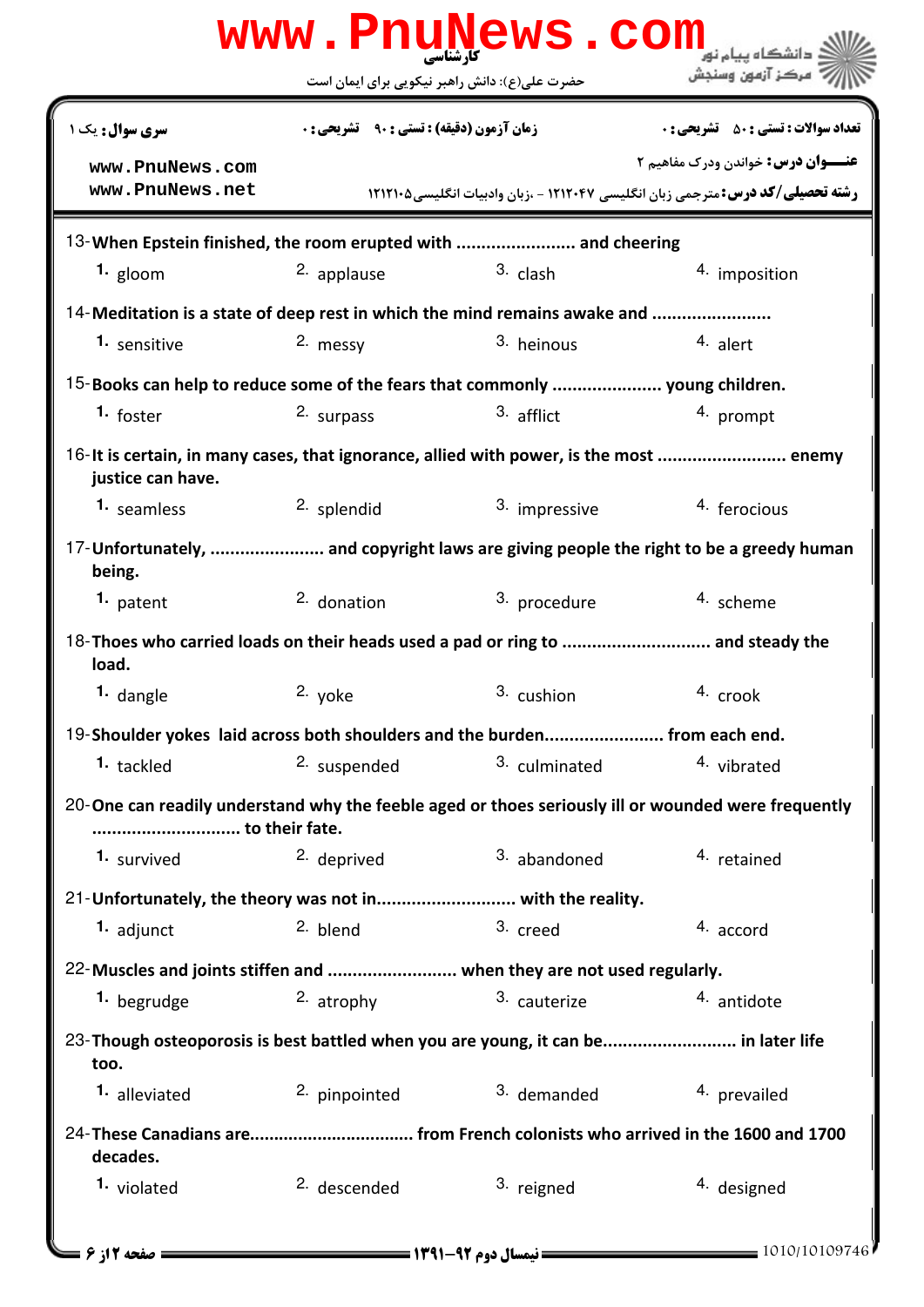|                                                                                                             | حضرت علی(ع): دانش راهبر نیکویی برای ایمان است      | www.PnuNews.com | مركز آزمون وسنجش                                                                                    |
|-------------------------------------------------------------------------------------------------------------|----------------------------------------------------|-----------------|-----------------------------------------------------------------------------------------------------|
| سری سوال: یک ۱                                                                                              | <b>زمان آزمون (دقیقه) : تستی : 90 ٪ تشریحی : 0</b> |                 | <b>تعداد سوالات : تستی : 50 ٪ تشریحی : 0</b>                                                        |
| www.PnuNews.com                                                                                             |                                                    |                 | <b>عنـــوان درس:</b> خواندن ودرک مفاهیم ۲                                                           |
| www.PnuNews.net                                                                                             |                                                    |                 | <b>رشته تحصیلی/کد درس:</b> مترجمی زبان انگلیسی ۱۲۱۲۰۴۷ - ،زبان وادبیات انگلیسی۵۰۲۱۲۱۰               |
| 13-When Epstein finished, the room erupted with  and cheering                                               |                                                    |                 |                                                                                                     |
| 1. gloom                                                                                                    | 2. applause                                        | $3.$ clash      | 4. imposition                                                                                       |
| 14-Meditation is a state of deep rest in which the mind remains awake and                                   |                                                    |                 |                                                                                                     |
| 1. sensitive                                                                                                | 2. messy                                           | 3. heinous      | 4. alert                                                                                            |
| 15-Books can help to reduce some of the fears that commonly  young children.                                |                                                    |                 |                                                                                                     |
| <sup>1.</sup> foster                                                                                        | 2. surpass                                         | 3. afflict      | 4. prompt                                                                                           |
| 16-It is certain, in many cases, that ignorance, allied with power, is the most  enemy<br>justice can have. |                                                    |                 |                                                                                                     |
| 1. seamless                                                                                                 | 2. splendid                                        | 3. impressive   | 4. ferocious                                                                                        |
| being.                                                                                                      |                                                    |                 | 17-Unfortunately,  and copyright laws are giving people the right to be a greedy human              |
| 1. patent                                                                                                   | 2. donation                                        | 3. procedure    | 4. scheme                                                                                           |
| 18-Thoes who carried loads on their heads used a pad or ring to  and steady the<br>load.                    |                                                    |                 |                                                                                                     |
| 1. dangle                                                                                                   | 2. yoke                                            | 3. cushion      | 4. crook                                                                                            |
| 19-Shoulder yokes laid across both shoulders and the burden from each end.                                  |                                                    |                 |                                                                                                     |
| 1. tackled                                                                                                  | 2. suspended                                       | 3. culminated   | 4. vibrated                                                                                         |
| to their fate.                                                                                              |                                                    |                 | 20-One can readily understand why the feeble aged or thoes seriously ill or wounded were frequently |
| 1. survived                                                                                                 | 2. deprived                                        | 3. abandoned    | 4. retained                                                                                         |
| 21-Unfortunately, the theory was not in with the reality.                                                   |                                                    |                 |                                                                                                     |
| 1. adjunct                                                                                                  | 2. blend                                           | 3. creed        | 4. accord                                                                                           |
| 22-Muscles and joints stiffen and  when they are not used regularly.                                        |                                                    |                 |                                                                                                     |
| 1. begrudge                                                                                                 | 2. atrophy                                         | 3. cauterize    | 4. antidote                                                                                         |
| 23-Though osteoporosis is best battled when you are young, it can be in later life<br>too.                  |                                                    |                 |                                                                                                     |
| <sup>1.</sup> alleviated                                                                                    | 2. pinpointed                                      | 3. demanded     | 4. prevailed                                                                                        |
| decades.                                                                                                    |                                                    |                 |                                                                                                     |
| 1. violated                                                                                                 | <sup>2.</sup> descended                            | 3. reigned      | <sup>4.</sup> designed                                                                              |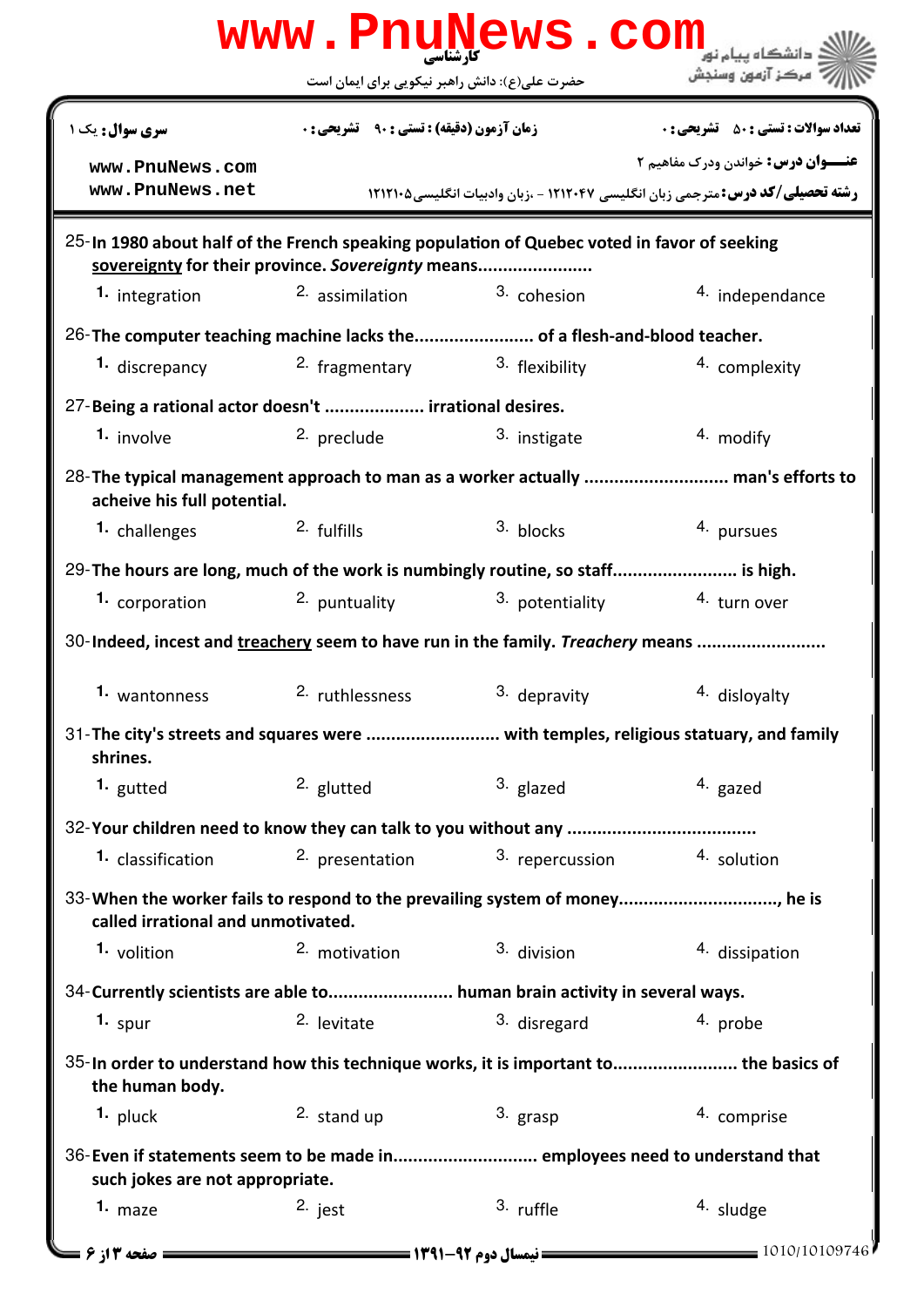|                                                                                                                                                  | www.PnuNews.com                                    |                                            |                                                                                      |
|--------------------------------------------------------------------------------------------------------------------------------------------------|----------------------------------------------------|--------------------------------------------|--------------------------------------------------------------------------------------|
|                                                                                                                                                  | حضرت علی(ع): دانش راهبر نیکویی برای ایمان است      |                                            | مركز آزمون وسنجش                                                                     |
| سری سوال: یک ۱                                                                                                                                   | <b>زمان آزمون (دقیقه) : تستی : 90 ٪ تشریحی : 0</b> |                                            | <b>تعداد سوالات : تستی : 50 ٪ تشریحی : 0</b>                                         |
| www.PnuNews.com                                                                                                                                  |                                                    |                                            | <b>عنـــوان درس:</b> خواندن ودرک مفاهیم ۲                                            |
| www.PnuNews.net                                                                                                                                  |                                                    |                                            | <b>رشته تحصیلی/کد درس:</b> مترجمی زبان انگلیسی ۱۲۱۲۰۴۷ - ،زبان وادبیات انگلیسی۲۱۲۱۰۵ |
| 25-In 1980 about half of the French speaking population of Quebec voted in favor of seeking<br>sovereignty for their province. Sovereignty means |                                                    |                                            |                                                                                      |
| 1. integration                                                                                                                                   | <sup>2.</sup> assimilation                         | 3. cohesion                                | 4. independance                                                                      |
| 26-The computer teaching machine lacks the of a flesh-and-blood teacher.                                                                         |                                                    |                                            |                                                                                      |
| 1. discrepancy                                                                                                                                   | <sup>2</sup> fragmentary <sup>3</sup> flexibility  |                                            | 4. complexity                                                                        |
| 27-Being a rational actor doesn't  irrational desires.                                                                                           |                                                    |                                            |                                                                                      |
| 1. involve                                                                                                                                       | 2. preclude                                        | 3. instigate                               | 4. modify                                                                            |
| acheive his full potential.                                                                                                                      |                                                    |                                            | 28-The typical management approach to man as a worker actually  man's efforts to     |
| 1. challenges                                                                                                                                    | 2. fulfills                                        | 3. blocks                                  | 4. pursues                                                                           |
| 29-The hours are long, much of the work is numbingly routine, so staff is high.                                                                  |                                                    |                                            |                                                                                      |
| 1. corporation                                                                                                                                   | <sup>2.</sup> puntuality                           |                                            | $3.$ potentiality $4.$ turn over                                                     |
| 30-Indeed, incest and treachery seem to have run in the family. Treachery means                                                                  |                                                    |                                            |                                                                                      |
| 1. wantonness                                                                                                                                    | 2. ruthlessness                                    | 3. depravity                               | 4. disloyalty                                                                        |
| 31-The city's streets and squares were  with temples, religious statuary, and family<br>shrines.                                                 |                                                    |                                            |                                                                                      |
| 1. gutted                                                                                                                                        | <sup>2.</sup> glutted                              | <sup>3.</sup> glazed                       | 4. gazed                                                                             |
| 32-Your children need to know they can talk to you without any                                                                                   |                                                    |                                            |                                                                                      |
| 1. classification                                                                                                                                |                                                    | 2. presentation $\frac{3}{2}$ repercussion | 4. solution                                                                          |
| 33-When the worker fails to respond to the prevailing system of money, he is<br>called irrational and unmotivated.                               |                                                    |                                            |                                                                                      |
| 1. volition                                                                                                                                      | 2. motivation                                      | 3. division                                | 4. dissipation                                                                       |
| 34-Currently scientists are able to human brain activity in several ways.                                                                        |                                                    |                                            |                                                                                      |
| 1. spur                                                                                                                                          | 2. levitate                                        | 3. disregard                               | 4. probe                                                                             |
| 35-In order to understand how this technique works, it is important to the basics of<br>the human body.                                          |                                                    |                                            |                                                                                      |
| $1.$ pluck                                                                                                                                       | $2.$ stand up                                      | 3. grasp                                   | 4. comprise                                                                          |
| 36-Even if statements seem to be made in employees need to understand that<br>such jokes are not appropriate.                                    |                                                    |                                            |                                                                                      |
| 1. maze                                                                                                                                          | $2.$ jest                                          | 3. ruffle                                  | 4. sludge                                                                            |
| <b>= صفحه 13 ز 6 =</b>                                                                                                                           |                                                    |                                            | 1010/10109746                                                                        |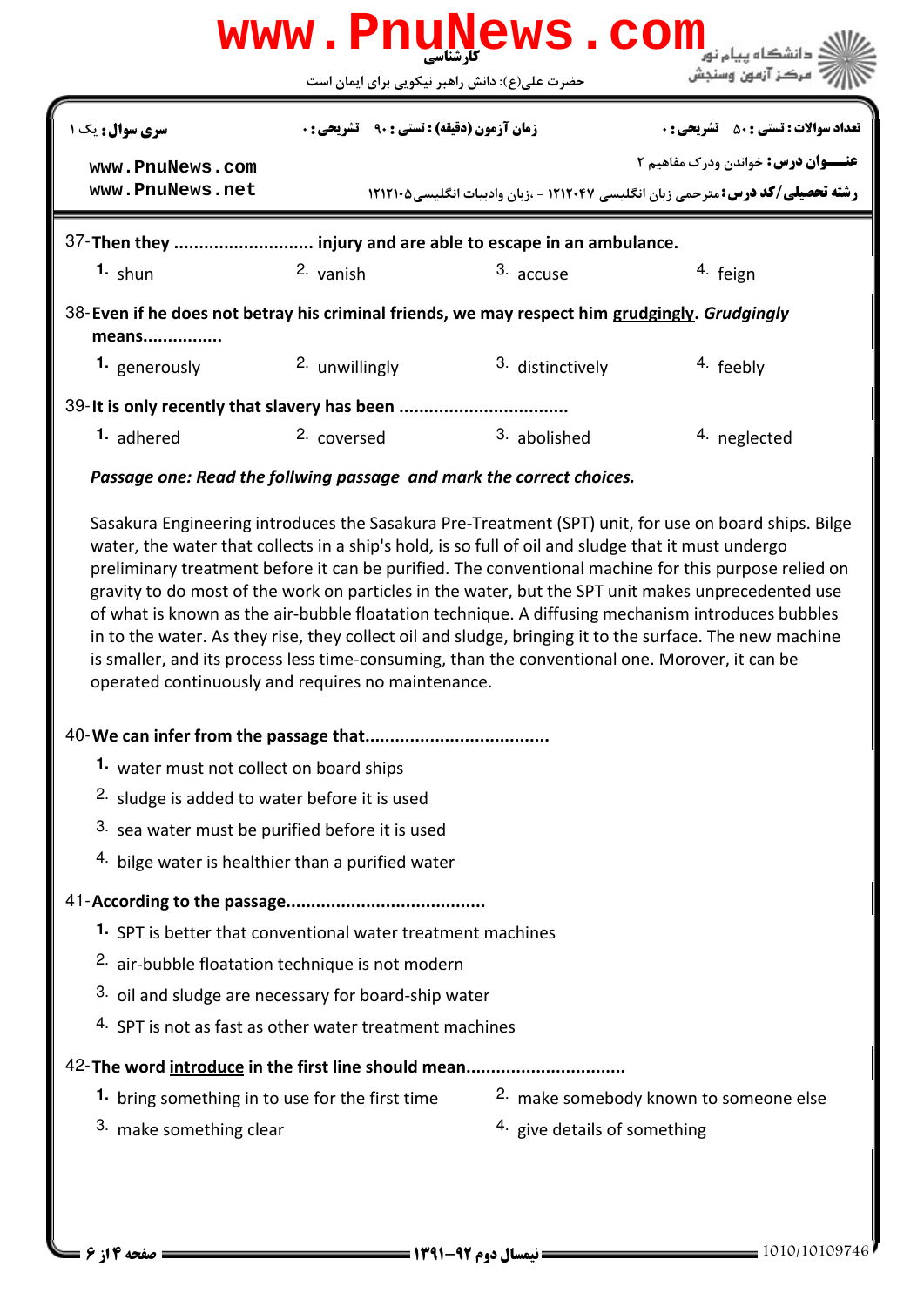|                                                                                                                                                      |                                                          | www.PnuNews.com              |                                                                                                                                                                                                                                                                                                                    |  |
|------------------------------------------------------------------------------------------------------------------------------------------------------|----------------------------------------------------------|------------------------------|--------------------------------------------------------------------------------------------------------------------------------------------------------------------------------------------------------------------------------------------------------------------------------------------------------------------|--|
|                                                                                                                                                      | حضرت علی(ع): دانش راهبر نیکویی برای ایمان است            |                              | مركز آزمون وسنجش                                                                                                                                                                                                                                                                                                   |  |
| سری سوال: یک ۱                                                                                                                                       | <b>زمان آزمون (دقیقه) : تستی : 90 ٪ تشریحی : 0</b>       |                              | <b>تعداد سوالات : تستي : 50 ٪ تشريحي : 0</b>                                                                                                                                                                                                                                                                       |  |
| www.PnuNews.com                                                                                                                                      |                                                          |                              | <b>عنـــوان درس:</b> خواندن ودرک مفاهیم ۲                                                                                                                                                                                                                                                                          |  |
| www.PnuNews.net                                                                                                                                      |                                                          |                              | <b>رشته تحصیلی/کد درس:</b> مترجمی زبان انگلیسی ۱۲۱۲۰۴۷ - ،زبان وادبیات انگلیسی۲۱۲۱۰۵                                                                                                                                                                                                                               |  |
| 37-Then they  injury and are able to escape in an ambulance.                                                                                         |                                                          |                              |                                                                                                                                                                                                                                                                                                                    |  |
| $1.$ shun                                                                                                                                            | 2. vanish                                                | 3. accuse                    | 4. feign                                                                                                                                                                                                                                                                                                           |  |
| 38-Even if he does not betray his criminal friends, we may respect him grudgingly. Grudgingly<br>means                                               |                                                          |                              |                                                                                                                                                                                                                                                                                                                    |  |
| 1. generously                                                                                                                                        | 2. unwillingly                                           | 3. distinctively             | 4. feebly                                                                                                                                                                                                                                                                                                          |  |
| 39-It is only recently that slavery has been                                                                                                         |                                                          |                              |                                                                                                                                                                                                                                                                                                                    |  |
| 1. adhered                                                                                                                                           | 2. coversed                                              | 3. abolished                 | 4. neglected                                                                                                                                                                                                                                                                                                       |  |
| Passage one: Read the follwing passage and mark the correct choices.                                                                                 |                                                          |                              |                                                                                                                                                                                                                                                                                                                    |  |
| is smaller, and its process less time-consuming, than the conventional one. Morover, it can be<br>operated continuously and requires no maintenance. |                                                          |                              | gravity to do most of the work on particles in the water, but the SPT unit makes unprecedented use<br>of what is known as the air-bubble floatation technique. A diffusing mechanism introduces bubbles<br>in to the water. As they rise, they collect oil and sludge, bringing it to the surface. The new machine |  |
|                                                                                                                                                      | 1. water must not collect on board ships                 |                              |                                                                                                                                                                                                                                                                                                                    |  |
|                                                                                                                                                      | <sup>2.</sup> sludge is added to water before it is used |                              |                                                                                                                                                                                                                                                                                                                    |  |
|                                                                                                                                                      | 3. sea water must be purified before it is used          |                              |                                                                                                                                                                                                                                                                                                                    |  |
| 4. bilge water is healthier than a purified water                                                                                                    |                                                          |                              |                                                                                                                                                                                                                                                                                                                    |  |
|                                                                                                                                                      |                                                          |                              |                                                                                                                                                                                                                                                                                                                    |  |
| 1. SPT is better that conventional water treatment machines                                                                                          |                                                          |                              |                                                                                                                                                                                                                                                                                                                    |  |
| 2. air-bubble floatation technique is not modern                                                                                                     |                                                          |                              |                                                                                                                                                                                                                                                                                                                    |  |
|                                                                                                                                                      | 3. oil and sludge are necessary for board-ship water     |                              |                                                                                                                                                                                                                                                                                                                    |  |
|                                                                                                                                                      | 4. SPT is not as fast as other water treatment machines  |                              |                                                                                                                                                                                                                                                                                                                    |  |
| 42-The word introduce in the first line should mean                                                                                                  |                                                          |                              |                                                                                                                                                                                                                                                                                                                    |  |
| 1. bring something in to use for the first time                                                                                                      |                                                          |                              | 2. make somebody known to someone else                                                                                                                                                                                                                                                                             |  |
| 3. make something clear                                                                                                                              |                                                          | 4. give details of something |                                                                                                                                                                                                                                                                                                                    |  |
|                                                                                                                                                      |                                                          |                              |                                                                                                                                                                                                                                                                                                                    |  |
|                                                                                                                                                      |                                                          |                              |                                                                                                                                                                                                                                                                                                                    |  |
| <b>صفحه ۱۴ ز ۶</b> =                                                                                                                                 |                                                          |                              | = 1010/10109746                                                                                                                                                                                                                                                                                                    |  |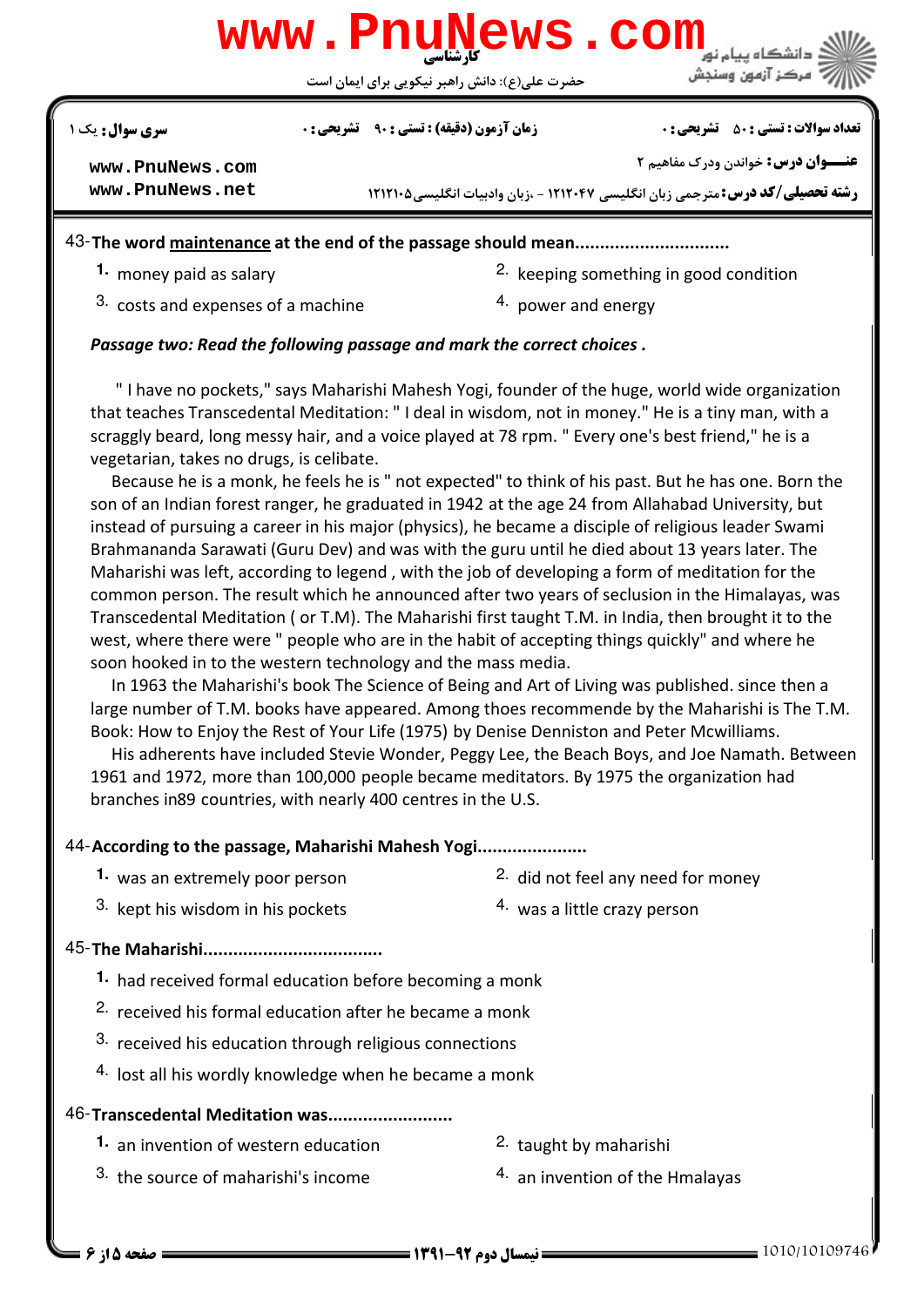

حضرت علي(ع): دانش راهبر نيكويي براي ايمان است

نعداد سوالات : تستي : ۵۰ ٪ تشريحي : . زمان آزمون (دقيقه) : تستي : ۹۰ ٪ تشريحي : . سري سوال : يک 1

**[www.PnuNews.com](http://pnunews.com) [www.PnuNews.net](http://www.PnuNews.net)** **عنـــوان درس:** خواندن ودرک مفاهیم ۲

**رشته تحصیلی/کد درس: م**ترجمی زبان انگلیسی ۱۲۱۲۰۴۷ - ،زبان وادبیات انگلیسی۵۰۱۲۱۲۱

43-The word maintenance at the end of the passage should mean...............................

**1.** money paid as salary

- 2. keeping something in good condition
- $3.$  costs and expenses of a machine  $4.$  power and energy

## Passage two: Read the following passage and mark the correct choices .

 " I have no pockets," says Maharishi Mahesh Yogi, founder of the huge, world wide organization that teaches Transcedental Meditation: " I deal in wisdom, not in money." He is a tiny man, with a scraggly beard, long messy hair, and a voice played at 78 rpm. " Every one's best friend," he is a vegetarian, takes no drugs, is celibate.

 Because he is a monk, he feels he is " not expected" to think of his past. But he has one. Born the son of an Indian forest ranger, he graduated in 1942 at the age 24 from Allahabad University, but instead of pursuing a career in his major (physics), he became a disciple of religious leader Swami Brahmananda Sarawati (Guru Dev) and was with the guru until he died about 13 years later. The Maharishi was left, according to legend , with the job of developing a form of meditation for the common person. The result which he announced after two years of seclusion in the Himalayas, was Transcedental Meditation ( or T.M). The Maharishi first taught T.M. in India, then brought it to the west, where there were " people who are in the habit of accepting things quickly" and where he soon hooked in to the western technology and the mass media.

 In 1963 the Maharishi's book The Science of Being and Art of Living was published. since then a large number of T.M. books have appeared. Among thoes recommende by the Maharishi is The T.M. Book: How to Enjoy the Rest of Your Life (1975) by Denise Denniston and Peter Mcwilliams.

 His adherents have included Stevie Wonder, Peggy Lee, the Beach Boys, and Joe Namath. Between 1961 and 1972, more than 100,000 people became meditators. By 1975 the organization had branches in89 countries, with nearly 400 centres in the U.S.

## 44-According to the passage, Maharishi Mahesh Yogi......................

- **1.** was an extremely poor person
- 2. did not feel any need for money
- <sup>3.</sup> kept his wisdom in his pockets  $\frac{4}{1}$  was a little crazy person

## The Maharishi.................................... 45-

- 1. had received formal education before becoming a monk
- <sup>2.</sup> received his formal education after he became a monk
- $3.$  received his education through religious connections
- 4. lost all his wordly knowledge when he became a monk

## 46-Transcedental Meditation was.........................

- **1.** an invention of western education **1.** 2. taught by maharishi
	-
- <sup>3.</sup> the source of maharishi's income  $10^{4}$  an invention of the Hmalayas
	-